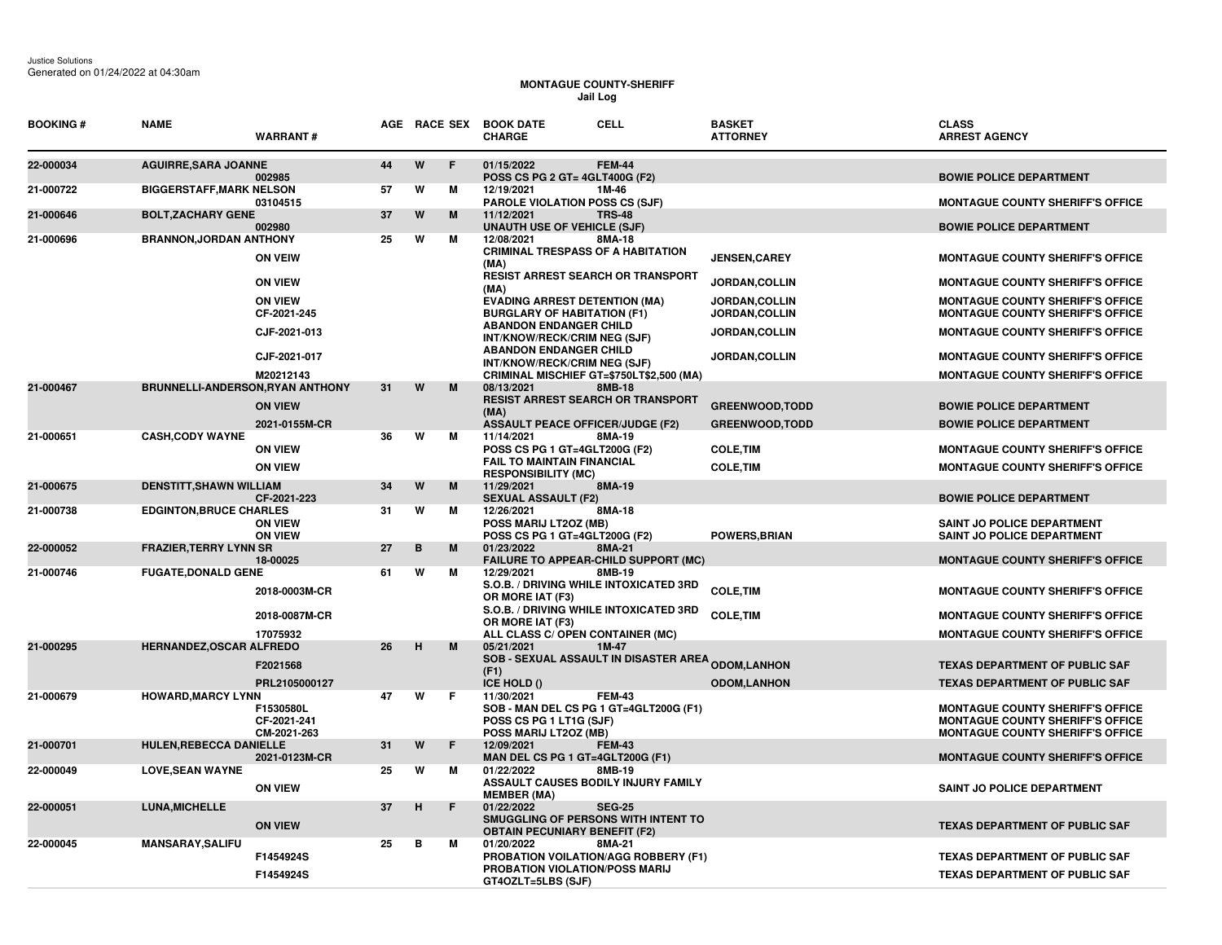## **MONTAGUE COUNTY-SHERIFF Jail Log**

| <b>BOOKING#</b> | <b>NAME</b>                             | <b>WARRANT#</b>                         |    |   |   | AGE RACE SEX BOOK DATE<br><b>CHARGE</b>                                                                  | <b>CELL</b>                                           | <b>BASKET</b><br><b>ATTORNEY</b>             | <b>CLASS</b><br><b>ARREST AGENCY</b>                                                                                          |
|-----------------|-----------------------------------------|-----------------------------------------|----|---|---|----------------------------------------------------------------------------------------------------------|-------------------------------------------------------|----------------------------------------------|-------------------------------------------------------------------------------------------------------------------------------|
| 22-000034       | <b>AGUIRRE, SARA JOANNE</b>             | 002985                                  | 44 | W | F | 01/15/2022<br>POSS CS PG 2 GT= 4GLT400G (F2)                                                             | <b>FEM-44</b>                                         |                                              | <b>BOWIE POLICE DEPARTMENT</b>                                                                                                |
| 21-000722       | <b>BIGGERSTAFF, MARK NELSON</b>         | 03104515                                | 57 | W | м | 12/19/2021<br><b>PAROLE VIOLATION POSS CS (SJF)</b>                                                      | 1M-46                                                 |                                              | <b>MONTAGUE COUNTY SHERIFF'S OFFICE</b>                                                                                       |
| 21-000646       | <b>BOLT, ZACHARY GENE</b>               | 002980                                  | 37 | W | M | 11/12/2021<br><b>UNAUTH USE OF VEHICLE (SJF)</b>                                                         | <b>TRS-48</b>                                         |                                              | <b>BOWIE POLICE DEPARTMENT</b>                                                                                                |
| 21-000696       | <b>BRANNON, JORDAN ANTHONY</b>          | <b>ON VEIW</b>                          | 25 | W | м | 12/08/2021<br><b>CRIMINAL TRESPASS OF A HABITATION</b><br>(MA)                                           | 8MA-18                                                | <b>JENSEN, CAREY</b>                         | <b>MONTAGUE COUNTY SHERIFF'S OFFICE</b>                                                                                       |
|                 |                                         | <b>ON VIEW</b>                          |    |   |   | <b>RESIST ARREST SEARCH OR TRANSPORT</b><br>(MA)                                                         |                                                       | JORDAN, COLLIN                               | <b>MONTAGUE COUNTY SHERIFF'S OFFICE</b>                                                                                       |
|                 |                                         | <b>ON VIEW</b><br>CF-2021-245           |    |   |   | <b>EVADING ARREST DETENTION (MA)</b><br><b>BURGLARY OF HABITATION (F1)</b>                               |                                                       | <b>JORDAN.COLLIN</b><br><b>JORDAN,COLLIN</b> | <b>MONTAGUE COUNTY SHERIFF'S OFFICE</b><br><b>MONTAGUE COUNTY SHERIFF'S OFFICE</b>                                            |
|                 |                                         | CJF-2021-013                            |    |   |   | <b>ABANDON ENDANGER CHILD</b><br>INT/KNOW/RECK/CRIM NEG (SJF)                                            |                                                       | JORDAN, COLLIN                               | MONTAGUE COUNTY SHERIFF'S OFFICE                                                                                              |
|                 |                                         | CJF-2021-017                            |    |   |   | <b>ABANDON ENDANGER CHILD</b><br>INT/KNOW/RECK/CRIM NEG (SJF)                                            |                                                       | <b>JORDAN,COLLIN</b>                         | <b>MONTAGUE COUNTY SHERIFF'S OFFICE</b>                                                                                       |
|                 |                                         | M20212143                               |    | W | M | CRIMINAL MISCHIEF GT=\$750LT\$2,500 (MA)                                                                 | 8MB-18                                                |                                              | <b>MONTAGUE COUNTY SHERIFF'S OFFICE</b>                                                                                       |
| 21-000467       | <b>BRUNNELLI-ANDERSON, RYAN ANTHONY</b> | <b>ON VIEW</b>                          | 31 |   |   | 08/13/2021<br><b>RESIST ARREST SEARCH OR TRANSPORT</b><br>(MA)                                           |                                                       | <b>GREENWOOD, TODD</b>                       | <b>BOWIE POLICE DEPARTMENT</b>                                                                                                |
|                 |                                         | 2021-0155M-CR                           |    |   |   | <b>ASSAULT PEACE OFFICER/JUDGE (F2)</b>                                                                  |                                                       | <b>GREENWOOD, TODD</b>                       | <b>BOWIE POLICE DEPARTMENT</b>                                                                                                |
| 21-000651       | <b>CASH, CODY WAYNE</b>                 | <b>ON VIEW</b>                          | 36 | W | м | 11/14/2021<br>POSS CS PG 1 GT=4GLT200G (F2)                                                              | 8MA-19                                                | <b>COLE, TIM</b>                             | <b>MONTAGUE COUNTY SHERIFF'S OFFICE</b>                                                                                       |
|                 |                                         | <b>ON VIEW</b>                          |    |   |   | <b>FAIL TO MAINTAIN FINANCIAL</b><br><b>RESPONSIBILITY (MC)</b>                                          |                                                       | <b>COLE, TIM</b>                             | <b>MONTAGUE COUNTY SHERIFF'S OFFICE</b>                                                                                       |
| 21-000675       | <b>DENSTITT, SHAWN WILLIAM</b>          | CF-2021-223                             | 34 | W | M | 11/29/2021<br><b>SEXUAL ASSAULT (F2)</b>                                                                 | 8MA-19                                                |                                              | <b>BOWIE POLICE DEPARTMENT</b>                                                                                                |
| 21-000738       | <b>EDGINTON, BRUCE CHARLES</b>          | <b>ON VIEW</b><br><b>ON VIEW</b>        | 31 | W | м | 12/26/2021<br>POSS MARIJ LT2OZ (MB)<br>POSS CS PG 1 GT=4GLT200G (F2)                                     | 8MA-18                                                | <b>POWERS, BRIAN</b>                         | SAINT JO POLICE DEPARTMENT<br>SAINT JO POLICE DEPARTMENT                                                                      |
| 22-000052       | <b>FRAZIER, TERRY LYNN SR</b>           | 18-00025                                | 27 | B | M | 01/23/2022<br><b>FAILURE TO APPEAR-CHILD SUPPORT (MC)</b>                                                | 8MA-21                                                |                                              | <b>MONTAGUE COUNTY SHERIFF'S OFFICE</b>                                                                                       |
| 21-000746       | <b>FUGATE, DONALD GENE</b>              |                                         | 61 | W | м | 12/29/2021                                                                                               | 8MB-19                                                |                                              |                                                                                                                               |
|                 |                                         | 2018-0003M-CR                           |    |   |   | S.O.B. / DRIVING WHILE INTOXICATED 3RD<br>OR MORE IAT (F3)                                               |                                                       | <b>COLE, TIM</b>                             | <b>MONTAGUE COUNTY SHERIFF'S OFFICE</b>                                                                                       |
|                 |                                         | 2018-0087M-CR                           |    |   |   | S.O.B. / DRIVING WHILE INTOXICATED 3RD<br>OR MORE IAT (F3)                                               |                                                       | <b>COLE, TIM</b>                             | <b>MONTAGUE COUNTY SHERIFF'S OFFICE</b>                                                                                       |
| 21-000295       | <b>HERNANDEZ, OSCAR ALFREDO</b>         | 17075932                                | 26 | H | M | ALL CLASS C/ OPEN CONTAINER (MC)<br>05/21/2021                                                           | 1M-47                                                 |                                              | <b>MONTAGUE COUNTY SHERIFF'S OFFICE</b>                                                                                       |
|                 |                                         | F2021568                                |    |   |   | <b>SOB - SEXUAL ASSAULT IN DISASTER AREA <sub>ODOM,</sub>LANHON</b><br>(F1)                              |                                                       |                                              | <b>TEXAS DEPARTMENT OF PUBLIC SAF</b>                                                                                         |
|                 |                                         | PRL2105000127                           |    |   |   | ICE HOLD ()                                                                                              |                                                       | <b>ODOM,LANHON</b>                           | <b>TEXAS DEPARTMENT OF PUBLIC SAF</b>                                                                                         |
| 21-000679       | <b>HOWARD, MARCY LYNN</b>               | F1530580L<br>CF-2021-241<br>CM-2021-263 | 47 | W | F | 11/30/2021<br>SOB - MAN DEL CS PG 1 GT=4GLT200G (F1)<br>POSS CS PG 1 LT1G (SJF)<br>POSS MARIJ LT20Z (MB) | <b>FEM-43</b>                                         |                                              | <b>MONTAGUE COUNTY SHERIFF'S OFFICE</b><br><b>MONTAGUE COUNTY SHERIFF'S OFFICE</b><br><b>MONTAGUE COUNTY SHERIFF'S OFFICE</b> |
| 21-000701       | HULEN, REBECCA DANIELLE                 | 2021-0123M-CR                           | 31 | W | F | 12/09/2021<br>MAN DEL CS PG 1 GT=4GLT200G (F1)                                                           | <b>FEM-43</b>                                         |                                              | <b>MONTAGUE COUNTY SHERIFF'S OFFICE</b>                                                                                       |
| 22-000049       | <b>LOVE, SEAN WAYNE</b>                 | <b>ON VIEW</b>                          | 25 | W | м | 01/22/2022<br>ASSAULT CAUSES BODILY INJURY FAMILY<br><b>MEMBER (MA)</b>                                  | 8MB-19                                                |                                              | SAINT JO POLICE DEPARTMENT                                                                                                    |
| 22-000051       | <b>LUNA, MICHELLE</b>                   | <b>ON VIEW</b>                          | 37 | н | F | 01/22/2022<br>SMUGGLING OF PERSONS WITH INTENT TO<br><b>OBTAIN PECUNIARY BENEFIT (F2)</b>                | <b>SEG-25</b>                                         |                                              | <b>TEXAS DEPARTMENT OF PUBLIC SAF</b>                                                                                         |
| 22-000045       | <b>MANSARAY, SALIFU</b>                 | F1454924S<br>F1454924S                  | 25 | в | м | 01/20/2022<br>PROBATION VIOLATION/POSS MARIJ<br>GT4OZLT=5LBS (SJF)                                       | 8MA-21<br><b>PROBATION VOILATION/AGG ROBBERY (F1)</b> |                                              | <b>TEXAS DEPARTMENT OF PUBLIC SAF</b><br><b>TEXAS DEPARTMENT OF PUBLIC SAF</b>                                                |
|                 |                                         |                                         |    |   |   |                                                                                                          |                                                       |                                              |                                                                                                                               |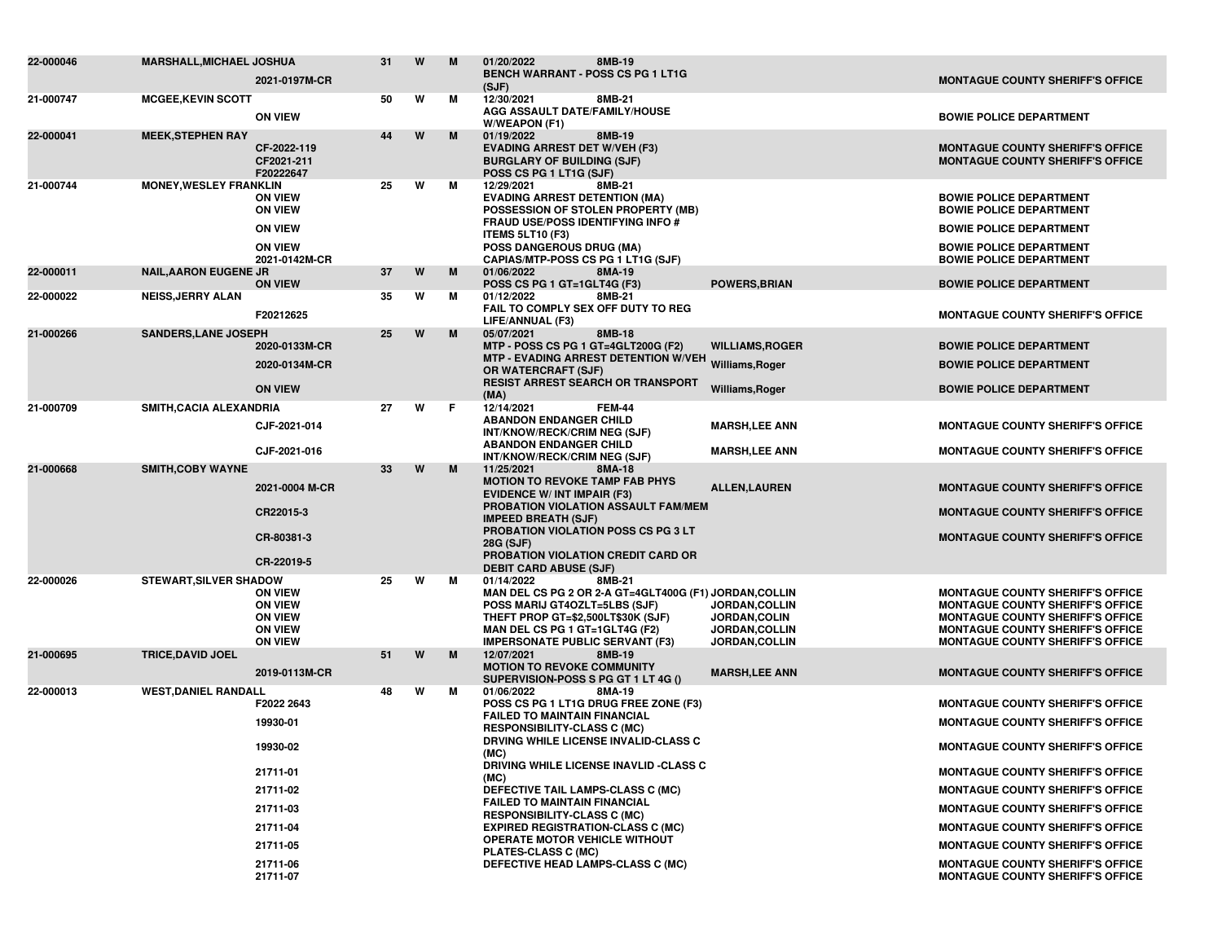| 22-000046 | <b>MARSHALL, MICHAEL JOSHUA</b> | 2021-0197M-CR                                                                                                          | 31 | W | M  | 01/20/2022<br>8MB-19<br><b>BENCH WARRANT - POSS CS PG 1 LT1G</b><br>(SJF)                                                                                                                                                                                                                                                                                                                                                                                                                                             |                                                                           | <b>MONTAGUE COUNTY SHERIFF'S OFFICE</b>                                                                                                                                                                                                                                                                                                                                                                                                    |
|-----------|---------------------------------|------------------------------------------------------------------------------------------------------------------------|----|---|----|-----------------------------------------------------------------------------------------------------------------------------------------------------------------------------------------------------------------------------------------------------------------------------------------------------------------------------------------------------------------------------------------------------------------------------------------------------------------------------------------------------------------------|---------------------------------------------------------------------------|--------------------------------------------------------------------------------------------------------------------------------------------------------------------------------------------------------------------------------------------------------------------------------------------------------------------------------------------------------------------------------------------------------------------------------------------|
| 21-000747 | <b>MCGEE, KEVIN SCOTT</b>       | <b>ON VIEW</b>                                                                                                         | 50 | W | М  | 12/30/2021<br>8MB-21<br><b>AGG ASSAULT DATE/FAMILY/HOUSE</b><br>W/WEAPON (F1)                                                                                                                                                                                                                                                                                                                                                                                                                                         |                                                                           | <b>BOWIE POLICE DEPARTMENT</b>                                                                                                                                                                                                                                                                                                                                                                                                             |
| 22-000041 | <b>MEEK, STEPHEN RAY</b>        | CF-2022-119<br>CF2021-211<br>F20222647                                                                                 | 44 | W | M  | 01/19/2022<br>8MB-19<br><b>EVADING ARREST DET W/VEH (F3)</b><br><b>BURGLARY OF BUILDING (SJF)</b><br>POSS CS PG 1 LT1G (SJF)                                                                                                                                                                                                                                                                                                                                                                                          |                                                                           | <b>MONTAGUE COUNTY SHERIFF'S OFFICE</b><br><b>MONTAGUE COUNTY SHERIFF'S OFFICE</b>                                                                                                                                                                                                                                                                                                                                                         |
| 21-000744 | <b>MONEY, WESLEY FRANKLIN</b>   | <b>ON VIEW</b><br><b>ON VIEW</b><br><b>ON VIEW</b><br><b>ON VIEW</b><br>2021-0142M-CR                                  | 25 | W | м  | 12/29/2021<br>8MB-21<br><b>EVADING ARREST DETENTION (MA)</b><br>POSSESSION OF STOLEN PROPERTY (MB)<br><b>FRAUD USE/POSS IDENTIFYING INFO #</b><br><b>ITEMS 5LT10 (F3)</b><br>POSS DANGEROUS DRUG (MA)<br>CAPIAS/MTP-POSS CS PG 1 LT1G (SJF)                                                                                                                                                                                                                                                                           |                                                                           | <b>BOWIE POLICE DEPARTMENT</b><br><b>BOWIE POLICE DEPARTMENT</b><br><b>BOWIE POLICE DEPARTMENT</b><br><b>BOWIE POLICE DEPARTMENT</b><br><b>BOWIE POLICE DEPARTMENT</b>                                                                                                                                                                                                                                                                     |
| 22-000011 | <b>NAIL, AARON EUGENE JR</b>    | <b>ON VIEW</b>                                                                                                         | 37 | W | M  | 01/06/2022<br>8MA-19<br>POSS CS PG 1 GT=1GLT4G (F3)                                                                                                                                                                                                                                                                                                                                                                                                                                                                   | <b>POWERS, BRIAN</b>                                                      | <b>BOWIE POLICE DEPARTMENT</b>                                                                                                                                                                                                                                                                                                                                                                                                             |
| 22-000022 | <b>NEISS, JERRY ALAN</b>        | F20212625                                                                                                              | 35 | W | м  | 01/12/2022<br>8MB-21<br>FAIL TO COMPLY SEX OFF DUTY TO REG<br>LIFE/ANNUAL (F3)                                                                                                                                                                                                                                                                                                                                                                                                                                        |                                                                           | <b>MONTAGUE COUNTY SHERIFF'S OFFICE</b>                                                                                                                                                                                                                                                                                                                                                                                                    |
| 21-000266 | <b>SANDERS, LANE JOSEPH</b>     | 2020-0133M-CR<br>2020-0134M-CR<br><b>ON VIEW</b>                                                                       | 25 | W | M  | 05/07/2021<br>8MB-18<br>MTP - POSS CS PG 1 GT=4GLT200G (F2)<br>MTP - EVADING ARREST DETENTION W/VEH Williams, Roger<br>OR WATERCRAFT (SJF)<br><b>RESIST ARREST SEARCH OR TRANSPORT</b><br>(MA)                                                                                                                                                                                                                                                                                                                        | <b>WILLIAMS, ROGER</b><br>Williams, Roger                                 | <b>BOWIE POLICE DEPARTMENT</b><br><b>BOWIE POLICE DEPARTMENT</b><br><b>BOWIE POLICE DEPARTMENT</b>                                                                                                                                                                                                                                                                                                                                         |
| 21-000709 | SMITH, CACIA ALEXANDRIA         | CJF-2021-014<br>CJF-2021-016                                                                                           | 27 | W | F. | 12/14/2021<br><b>FEM-44</b><br><b>ABANDON ENDANGER CHILD</b><br>INT/KNOW/RECK/CRIM NEG (SJF)<br><b>ABANDON ENDANGER CHILD</b>                                                                                                                                                                                                                                                                                                                                                                                         | <b>MARSH,LEE ANN</b><br><b>MARSH,LEE ANN</b>                              | <b>MONTAGUE COUNTY SHERIFF'S OFFICE</b><br><b>MONTAGUE COUNTY SHERIFF'S OFFICE</b>                                                                                                                                                                                                                                                                                                                                                         |
| 21-000668 | <b>SMITH, COBY WAYNE</b>        | 2021-0004 M-CR<br>CR22015-3<br>CR-80381-3<br>CR-22019-5                                                                | 33 | W | M  | INT/KNOW/RECK/CRIM NEG (SJF)<br>11/25/2021<br>8MA-18<br><b>MOTION TO REVOKE TAMP FAB PHYS</b><br><b>EVIDENCE W/ INT IMPAIR (F3)</b><br>PROBATION VIOLATION ASSAULT FAM/MEM<br><b>IMPEED BREATH (SJF)</b><br>PROBATION VIOLATION POSS CS PG 3 LT<br>28G (SJF)<br>PROBATION VIOLATION CREDIT CARD OR<br><b>DEBIT CARD ABUSE (SJF)</b>                                                                                                                                                                                   | <b>ALLEN, LAUREN</b>                                                      | <b>MONTAGUE COUNTY SHERIFF'S OFFICE</b><br><b>MONTAGUE COUNTY SHERIFF'S OFFICE</b><br><b>MONTAGUE COUNTY SHERIFF'S OFFICE</b>                                                                                                                                                                                                                                                                                                              |
| 22-000026 | <b>STEWART, SILVER SHADOW</b>   | <b>ON VIEW</b><br><b>ON VIEW</b><br><b>ON VIEW</b><br><b>ON VIEW</b><br><b>ON VIEW</b>                                 | 25 | W | м  | 01/14/2022<br>8MB-21<br>MAN DEL CS PG 2 OR 2-A GT=4GLT400G (F1) JORDAN, COLLIN<br>POSS MARIJ GT4OZLT=5LBS (SJF)<br>THEFT PROP GT=\$2,500LT\$30K (SJF)<br>MAN DEL CS PG 1 GT=1GLT4G (F2)<br><b>IMPERSONATE PUBLIC SERVANT (F3)</b>                                                                                                                                                                                                                                                                                     | JORDAN, COLLIN<br><b>JORDAN,COLIN</b><br>JORDAN, COLLIN<br>JORDAN, COLLIN | <b>MONTAGUE COUNTY SHERIFF'S OFFICE</b><br><b>MONTAGUE COUNTY SHERIFF'S OFFICE</b><br><b>MONTAGUE COUNTY SHERIFF'S OFFICE</b><br><b>MONTAGUE COUNTY SHERIFF'S OFFICE</b><br><b>MONTAGUE COUNTY SHERIFF'S OFFICE</b>                                                                                                                                                                                                                        |
| 21-000695 | <b>TRICE, DAVID JOEL</b>        | 2019-0113M-CR                                                                                                          | 51 | W | M  | 12/07/2021<br>8MB-19<br><b>MOTION TO REVOKE COMMUNITY</b><br>SUPERVISION-POSS S PG GT 1 LT 4G ()                                                                                                                                                                                                                                                                                                                                                                                                                      | <b>MARSH,LEE ANN</b>                                                      | <b>MONTAGUE COUNTY SHERIFF'S OFFICE</b>                                                                                                                                                                                                                                                                                                                                                                                                    |
| 22-000013 | <b>WEST, DANIEL RANDALL</b>     | F2022 2643<br>19930-01<br>19930-02<br>21711-01<br>21711-02<br>21711-03<br>21711-04<br>21711-05<br>21711-06<br>21711-07 | 48 | W | м  | 01/06/2022<br>8MA-19<br>POSS CS PG 1 LT1G DRUG FREE ZONE (F3)<br><b>FAILED TO MAINTAIN FINANCIAL</b><br><b>RESPONSIBILITY-CLASS C (MC)</b><br>DRVING WHILE LICENSE INVALID-CLASS C<br>(MC)<br><b>DRIVING WHILE LICENSE INAVLID -CLASS C</b><br>(MC)<br>DEFECTIVE TAIL LAMPS-CLASS C (MC)<br><b>FAILED TO MAINTAIN FINANCIAL</b><br><b>RESPONSIBILITY-CLASS C (MC)</b><br><b>EXPIRED REGISTRATION-CLASS C (MC)</b><br><b>OPERATE MOTOR VEHICLE WITHOUT</b><br>PLATES-CLASS C (MC)<br>DEFECTIVE HEAD LAMPS-CLASS C (MC) |                                                                           | <b>MONTAGUE COUNTY SHERIFF'S OFFICE</b><br><b>MONTAGUE COUNTY SHERIFF'S OFFICE</b><br><b>MONTAGUE COUNTY SHERIFF'S OFFICE</b><br><b>MONTAGUE COUNTY SHERIFF'S OFFICE</b><br><b>MONTAGUE COUNTY SHERIFF'S OFFICE</b><br><b>MONTAGUE COUNTY SHERIFF'S OFFICE</b><br><b>MONTAGUE COUNTY SHERIFF'S OFFICE</b><br><b>MONTAGUE COUNTY SHERIFF'S OFFICE</b><br><b>MONTAGUE COUNTY SHERIFF'S OFFICE</b><br><b>MONTAGUE COUNTY SHERIFF'S OFFICE</b> |